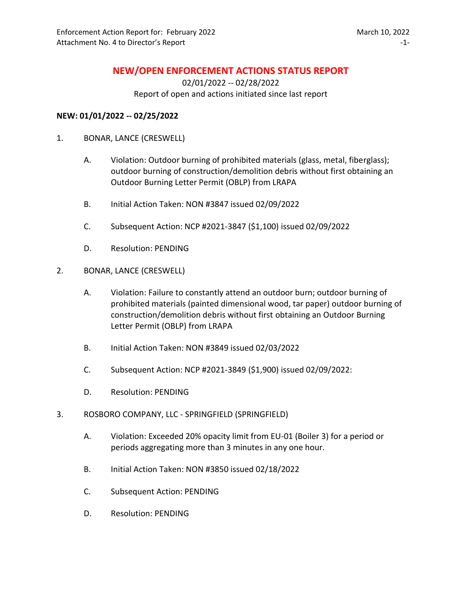## **NEW/OPEN ENFORCEMENT ACTIONS STATUS REPORT**

02/01/2022 -- 02/28/2022 Report of open and actions initiated since last report

## **NEW: 01/01/2022 -- 02/25/2022**

- 1. BONAR, LANCE (CRESWELL)
	- A. Violation: Outdoor burning of prohibited materials (glass, metal, fiberglass); outdoor burning of construction/demolition debris without first obtaining an Outdoor Burning Letter Permit (OBLP) from LRAPA
	- B. Initial Action Taken: NON #3847 issued 02/09/2022
	- C. Subsequent Action: NCP #2021-3847 (\$1,100) issued 02/09/2022
	- D. Resolution: PENDING
- 2. BONAR, LANCE (CRESWELL)
	- A. Violation: Failure to constantly attend an outdoor burn; outdoor burning of prohibited materials (painted dimensional wood, tar paper) outdoor burning of construction/demolition debris without first obtaining an Outdoor Burning Letter Permit (OBLP) from LRAPA
	- B. Initial Action Taken: NON #3849 issued 02/03/2022
	- C. Subsequent Action: NCP #2021-3849 (\$1,900) issued 02/09/2022:
	- D. Resolution: PENDING
- 3. ROSBORO COMPANY, LLC SPRINGFIELD (SPRINGFIELD)
	- A. Violation: Exceeded 20% opacity limit from EU-01 (Boiler 3) for a period or periods aggregating more than 3 minutes in any one hour.
	- B. Initial Action Taken: NON #3850 issued 02/18/2022
	- C. Subsequent Action: PENDING
	- D. Resolution: PENDING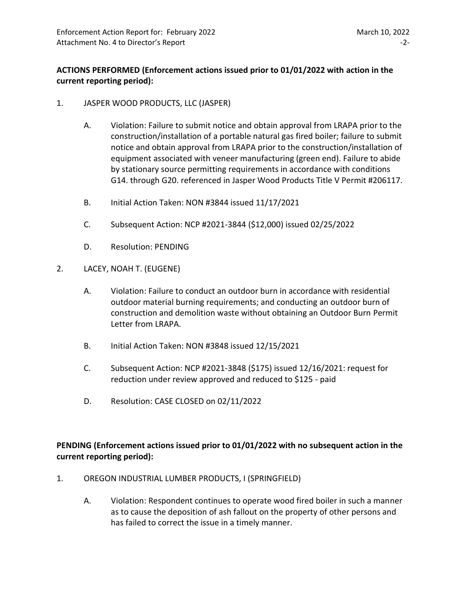## **ACTIONS PERFORMED (Enforcement actions issued prior to 01/01/2022 with action in the current reporting period):**

- 1. JASPER WOOD PRODUCTS, LLC (JASPER)
	- A. Violation: Failure to submit notice and obtain approval from LRAPA prior to the construction/installation of a portable natural gas fired boiler; failure to submit notice and obtain approval from LRAPA prior to the construction/installation of equipment associated with veneer manufacturing (green end). Failure to abide by stationary source permitting requirements in accordance with conditions G14. through G20. referenced in Jasper Wood Products Title V Permit #206117.
	- B. Initial Action Taken: NON #3844 issued 11/17/2021
	- C. Subsequent Action: NCP #2021-3844 (\$12,000) issued 02/25/2022
	- D. Resolution: PENDING
- 2. LACEY, NOAH T. (EUGENE)
	- A. Violation: Failure to conduct an outdoor burn in accordance with residential outdoor material burning requirements; and conducting an outdoor burn of construction and demolition waste without obtaining an Outdoor Burn Permit Letter from LRAPA.
	- B. Initial Action Taken: NON #3848 issued 12/15/2021
	- C. Subsequent Action: NCP #2021-3848 (\$175) issued 12/16/2021: request for reduction under review approved and reduced to \$125 - paid
	- D. Resolution: CASE CLOSED on 02/11/2022

**PENDING (Enforcement actions issued prior to 01/01/2022 with no subsequent action in the current reporting period):**

- 1. OREGON INDUSTRIAL LUMBER PRODUCTS, I (SPRINGFIELD)
	- A. Violation: Respondent continues to operate wood fired boiler in such a manner as to cause the deposition of ash fallout on the property of other persons and has failed to correct the issue in a timely manner.